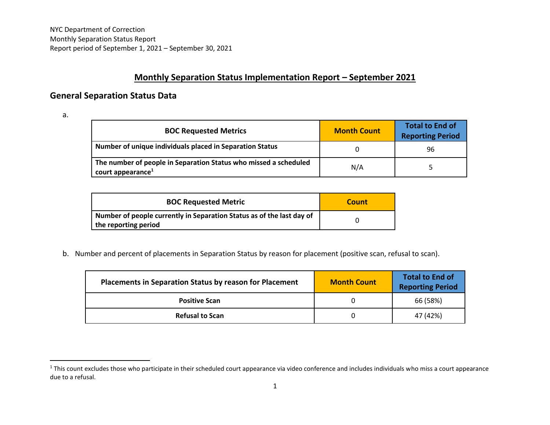## **Monthly Separation Status Implementation Report – September 2021**

## **General Separation Status Data**

a.

| <b>BOC Requested Metrics</b>                                                                      | <b>Month Count</b> | <b>Total to End of</b><br><b>Reporting Period</b> |
|---------------------------------------------------------------------------------------------------|--------------------|---------------------------------------------------|
| Number of unique individuals placed in Separation Status                                          |                    | 96                                                |
| The number of people in Separation Status who missed a scheduled<br>court appearance <sup>1</sup> | N/A                |                                                   |

| <b>BOC Requested Metric</b>                                                                   | Count |
|-----------------------------------------------------------------------------------------------|-------|
| Number of people currently in Separation Status as of the last day of<br>the reporting period |       |

b. Number and percent of placements in Separation Status by reason for placement (positive scan, refusal to scan).

| <b>Placements in Separation Status by reason for Placement</b> | <b>Month Count</b> | <b>Total to End of</b><br><b>Reporting Period</b> |
|----------------------------------------------------------------|--------------------|---------------------------------------------------|
| <b>Positive Scan</b>                                           |                    | 66 (58%)                                          |
| <b>Refusal to Scan</b>                                         |                    | 47 (42%)                                          |

<sup>&</sup>lt;sup>1</sup> This count excludes those who participate in their scheduled court appearance via video conference and includes individuals who miss a court appearance due to a refusal.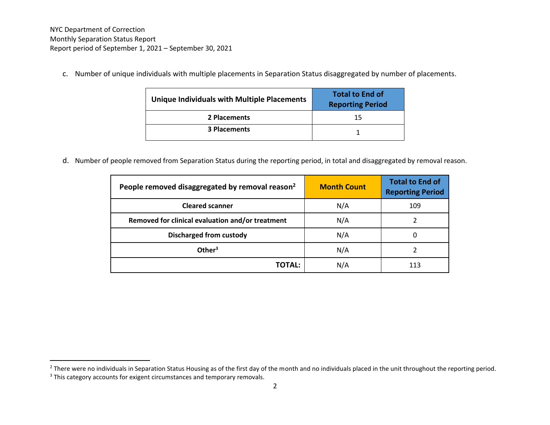c. Number of unique individuals with multiple placements in Separation Status disaggregated by number of placements.

| <b>Unique Individuals with Multiple Placements</b> | <b>Total to End of</b><br><b>Reporting Period</b> |
|----------------------------------------------------|---------------------------------------------------|
| 2 Placements                                       | 15                                                |
| <b>3 Placements</b>                                |                                                   |

d. Number of people removed from Separation Status during the reporting period, in total and disaggregated by removal reason.

| People removed disaggregated by removal reason <sup>2</sup> | <b>Month Count</b> | <b>Total to End of</b><br><b>Reporting Period</b> |
|-------------------------------------------------------------|--------------------|---------------------------------------------------|
| <b>Cleared scanner</b>                                      | N/A                | 109                                               |
| Removed for clinical evaluation and/or treatment            | N/A                |                                                   |
| <b>Discharged from custody</b>                              | N/A                |                                                   |
| Other $3$                                                   | N/A                |                                                   |
| TOTAL:                                                      | N/A                |                                                   |

<sup>&</sup>lt;sup>2</sup> There were no individuals in Separation Status Housing as of the first day of the month and no individuals placed in the unit throughout the reporting period.

<sup>&</sup>lt;sup>3</sup> This category accounts for exigent circumstances and temporary removals.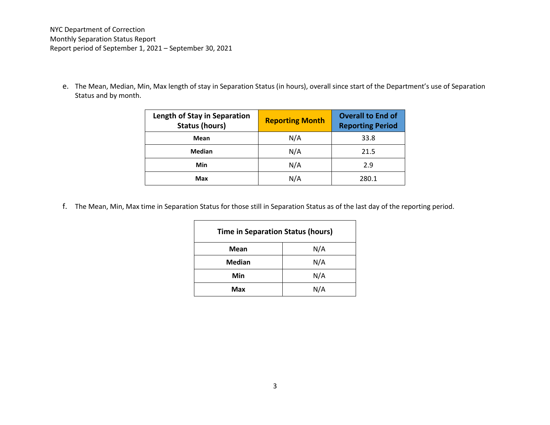NYC Department of Correction Monthly Separation Status Report Report period of September 1, 2021 – September 30, 2021

e. The Mean, Median, Min, Max length of stay in Separation Status (in hours), overall since start of the Department's use of Separation Status and by month.

| <b>Length of Stay in Separation</b><br><b>Status (hours)</b> | <b>Reporting Month</b> | <b>Overall to End of</b><br><b>Reporting Period</b> |
|--------------------------------------------------------------|------------------------|-----------------------------------------------------|
| Mean                                                         | N/A                    | 33.8                                                |
| Median                                                       | N/A                    | 21.5                                                |
| Min                                                          | N/A                    | 2.9                                                 |
| Max                                                          | N/A                    | 280.1                                               |

f. The Mean, Min, Max time in Separation Status for those still in Separation Status as of the last day of the reporting period.

| <b>Time in Separation Status (hours)</b> |     |  |
|------------------------------------------|-----|--|
| Mean                                     | N/A |  |
| <b>Median</b>                            | N/A |  |
| Min                                      | N/A |  |
| Max                                      | N/A |  |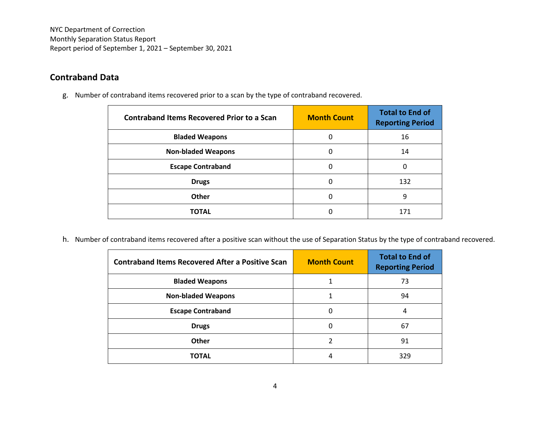NYC Department of Correction Monthly Separation Status Report Report period of September 1, 2021 – September 30, 2021

## **Contraband Data**

g. Number of contraband items recovered prior to a scan by the type of contraband recovered.

| <b>Contraband Items Recovered Prior to a Scan</b> | <b>Month Count</b> | <b>Total to End of</b><br><b>Reporting Period</b> |
|---------------------------------------------------|--------------------|---------------------------------------------------|
| <b>Bladed Weapons</b>                             | 0                  | 16                                                |
| <b>Non-bladed Weapons</b>                         | 0                  | 14                                                |
| <b>Escape Contraband</b>                          | 0                  | 0                                                 |
| <b>Drugs</b>                                      | 0                  | 132                                               |
| Other                                             | 0                  | 9                                                 |
| <b>TOTAL</b>                                      | 0                  | 171                                               |

h. Number of contraband items recovered after a positive scan without the use of Separation Status by the type of contraband recovered.

| <b>Contraband Items Recovered After a Positive Scan</b> | <b>Month Count</b> | <b>Total to End of</b><br><b>Reporting Period</b> |
|---------------------------------------------------------|--------------------|---------------------------------------------------|
| <b>Bladed Weapons</b>                                   |                    | 73                                                |
| <b>Non-bladed Weapons</b>                               |                    | 94                                                |
| <b>Escape Contraband</b>                                |                    | 4                                                 |
| <b>Drugs</b>                                            |                    | 67                                                |
| Other                                                   |                    | 91                                                |
| <b>TOTAL</b>                                            | 4                  | 329                                               |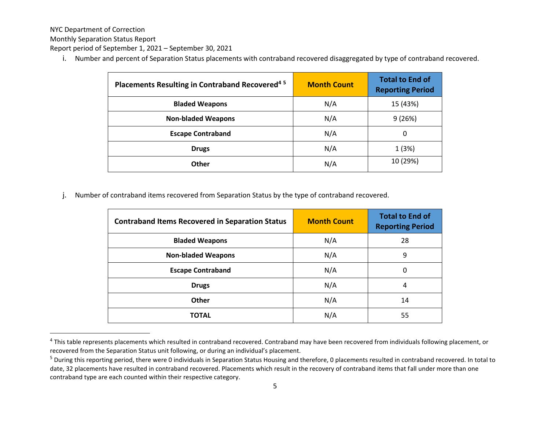NYC Department of Correction

Monthly Separation Status Report

Report period of September 1, 2021 – September 30, 2021

i. Number and percent of Separation Status placements with contraband recovered disaggregated by type of contraband recovered.

| Placements Resulting in Contraband Recovered <sup>45</sup> | <b>Month Count</b> | <b>Total to End of</b><br><b>Reporting Period</b> |
|------------------------------------------------------------|--------------------|---------------------------------------------------|
| <b>Bladed Weapons</b>                                      | N/A                | 15 (43%)                                          |
| <b>Non-bladed Weapons</b>                                  | N/A                | 9(26%)                                            |
| <b>Escape Contraband</b>                                   | N/A                | 0                                                 |
| <b>Drugs</b>                                               | N/A                | 1(3%)                                             |
| <b>Other</b>                                               | N/A                | 10 (29%)                                          |

j. Number of contraband items recovered from Separation Status by the type of contraband recovered.

| <b>Contraband Items Recovered in Separation Status</b> | <b>Month Count</b> | <b>Total to End of</b><br><b>Reporting Period</b> |
|--------------------------------------------------------|--------------------|---------------------------------------------------|
| <b>Bladed Weapons</b>                                  | N/A                | 28                                                |
| <b>Non-bladed Weapons</b>                              | N/A                | 9                                                 |
| <b>Escape Contraband</b>                               | N/A                | 0                                                 |
| <b>Drugs</b>                                           | N/A                | 4                                                 |
| Other                                                  | N/A                | 14                                                |
| <b>TOTAL</b>                                           | N/A                | 55                                                |

<sup>&</sup>lt;sup>4</sup> This table represents placements which resulted in contraband recovered. Contraband may have been recovered from individuals following placement, or recovered from the Separation Status unit following, or during an individual's placement.

<sup>&</sup>lt;sup>5</sup> During this reporting period, there were 0 individuals in Separation Status Housing and therefore, 0 placements resulted in contraband recovered. In total to date, 32 placements have resulted in contraband recovered. Placements which result in the recovery of contraband items that fall under more than one contraband type are each counted within their respective category.